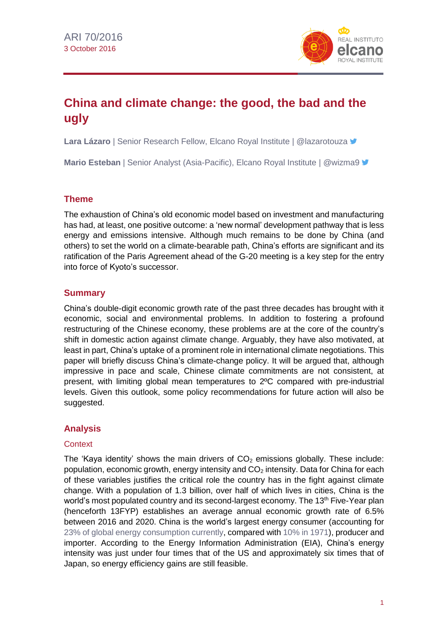

# **China and climate change: the good, the bad and the ugly**

**Lara Lázaro** | Senior Research Fellow, Elcano Royal Institute | @lazarotouza

**Mario Esteban** | Senior Analyst (Asia-Pacific), Elcano Royal Institute | @wizma9 <del>■</del>

### **Theme**

The exhaustion of China's old economic model based on investment and manufacturing has had, at least, one positive outcome: a 'new normal' development pathway that is less energy and emissions intensive. Although much remains to be done by China (and others) to set the world on a climate-bearable path, China's efforts are significant and its ratification of the Paris Agreement ahead of the G-20 meeting is a key step for the entry into force of Kyoto's successor.

# **Summary**

China's double-digit economic growth rate of the past three decades has brought with it economic, social and environmental problems. In addition to fostering a profound restructuring of the Chinese economy, these problems are at the core of the country's shift in domestic action against climate change. Arguably, they have also motivated, at least in part, China's uptake of a prominent role in international climate negotiations. This paper will briefly discuss China's climate-change policy. It will be argued that, although impressive in pace and scale, Chinese climate commitments are not consistent, at present, with limiting global mean temperatures to 2ºC compared with pre-industrial levels. Given this outlook, some policy recommendations for future action will also be suggested.

# **Analysis**

#### **Context**

The 'Kaya identity' shows the main drivers of  $CO<sub>2</sub>$  emissions globally. These include: population, economic growth, energy intensity and  $CO<sub>2</sub>$  intensity. Data for China for each of these variables justifies the critical role the country has in the fight against climate change. With a population of 1.3 billion, over half of which lives in cities, China is the world's most populated country and its second-largest economy. The 13<sup>th</sup> Five-Year plan (henceforth 13FYP) establishes an average annual economic growth rate of 6.5% between 2016 and 2020. China is the world's largest energy consumer (accounting for 23% of global energy [consumption](http://www.bp.com/content/dam/bp/pdf/energy-economics/energy-outlook-2016/bp-energy-outlook-2016-country-insights-china.pdf) currently, compared with 10% in [1971\)](https://www.researchgate.net/profile/Kankesu_Jayanthakumaran/publication/235667131_CO_2_emissions_energy_consumption_trade_and_income_A_comparative_analysis_of_China_and_India_/links/0fcfd5126f8152f663000000.pdf), producer and importer. According to the Energy Information Administration (EIA), China's energy intensity was just under four times that of the US and approximately six times that of Japan, so energy efficiency gains are still feasible.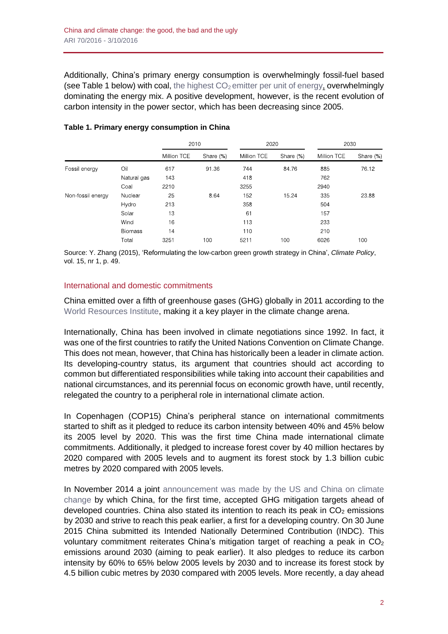Additionally, China's primary energy consumption is overwhelmingly fossil-fuel based (see Table 1 below) with coal, the highest  $CO<sub>2</sub>$  emitter per unit of [energy,](https://www.eia.gov/tools/faqs/faq.cfm?id=73&t=11) overwhelmingly dominating the energy mix. A positive development, however, is the recent evolution of carbon intensity in the power sector, which has been decreasing since 2005.

|                   |                | 2010        |           | 2020        |           | 2030        |           |
|-------------------|----------------|-------------|-----------|-------------|-----------|-------------|-----------|
|                   |                | Million TCE | Share (%) | Million TCE | Share (%) | Million TCE | Share (%) |
| Fossil energy     | Oil            | 617         | 91 36     | 744         | 8476      | 885         | 76.12     |
|                   | Natural gas    | 143         |           | 418         |           | 762         |           |
|                   | Coal           | 2210        |           | 3255        |           | 2940        |           |
| Non-fossil energy | Nuclear        | 25          | 8.64      | 152         | 15.24     | 335         | 2388      |
|                   | Hydro          | 213         |           | 358         |           | 504         |           |
|                   | Solar          | 13          |           | 61          |           | 157         |           |
|                   | Wind           | 16          |           | 113         |           | 233         |           |
|                   | <b>Biomass</b> | 14          |           | 110         |           | 210         |           |
|                   | Total          | 3251        | 100       | 5211        | 100       | 6026        | 100       |

#### **Table 1. Primary energy consumption in China**

Source: Y. Zhang (2015), 'Reformulating the low-carbon green growth strategy in China', *Climate Policy*, vol. 15, nr 1, p. 49.

#### International and domestic commitments

China emitted over a fifth of greenhouse gases (GHG) globally in 2011 according to the World [Resources](http://www.wri.org/sites/default/files/Top_10_Emitters_in_2012.png) Institute, making it a key player in the climate change arena.

Internationally, China has been involved in climate negotiations since 1992. In fact, it was one of the first countries to ratify the United Nations Convention on Climate Change. This does not mean, however, that China has historically been a leader in climate action. Its developing-country status, its argument that countries should act according to common but differentiated responsibilities while taking into account their capabilities and national circumstances, and its perennial focus on economic growth have, until recently, relegated the country to a peripheral role in international climate action.

In Copenhagen (COP15) China's peripheral stance on international commitments started to shift as it pledged to reduce its carbon intensity between 40% and 45% below its 2005 level by 2020. This was the first time China made international climate commitments. Additionally, it pledged to increase forest cover by 40 million hectares by 2020 compared with 2005 levels and to augment its forest stock by 1.3 billion cubic metres by 2020 compared with 2005 levels.

In November 2014 a joint [announcement](https://www.whitehouse.gov/the-press-office/2015/09/25/us-china-joint-presidential-statement-climate-change) was made by the US and China on climate [change](https://www.whitehouse.gov/the-press-office/2015/09/25/us-china-joint-presidential-statement-climate-change) by which China, for the first time, accepted GHG mitigation targets ahead of developed countries. China also stated its intention to reach its peak in  $CO<sub>2</sub>$  emissions by 2030 and strive to reach this peak earlier, a first for a developing country. On 30 June 2015 China submitted its Intended Nationally Determined Contribution (INDC). This voluntary commitment reiterates China's mitigation target of reaching a peak in  $CO<sub>2</sub>$ emissions around 2030 (aiming to peak earlier). It also pledges to reduce its carbon intensity by 60% to 65% below 2005 levels by 2030 and to increase its forest stock by 4.5 billion cubic metres by 2030 compared with 2005 levels. More recently, a day ahead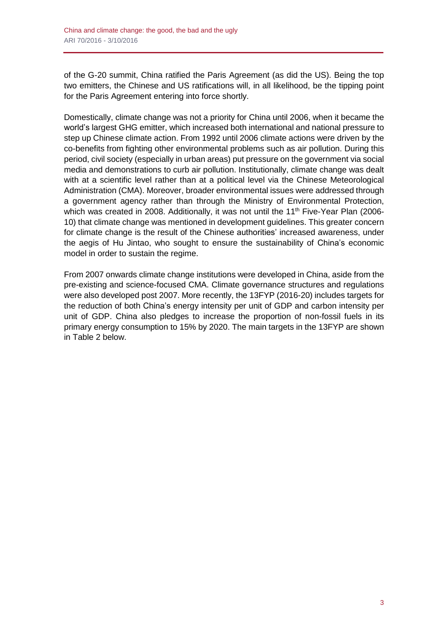of the G-20 summit, China ratified the Paris Agreement (as did the US). Being the top two emitters, the Chinese and US ratifications will, in all likelihood, be the tipping point for the Paris Agreement entering into force shortly.

Domestically, climate change was not a priority for China until 2006, when it became the world's largest GHG emitter, which increased both international and national pressure to step up Chinese climate action. From 1992 until 2006 climate actions were driven by the co-benefits from fighting other environmental problems such as air pollution. During this period, civil society (especially in urban areas) put pressure on the government via social media and demonstrations to curb air pollution. Institutionally, climate change was dealt with at a scientific level rather than at a political level via the Chinese Meteorological Administration (CMA). Moreover, broader environmental issues were addressed through a government agency rather than through the Ministry of Environmental Protection, which was created in 2008. Additionally, it was not until the 11<sup>th</sup> Five-Year Plan (2006-10) that climate change was mentioned in development guidelines. This greater concern for climate change is the result of the Chinese authorities' increased awareness, under the aegis of Hu Jintao, who sought to ensure the sustainability of China's economic model in order to sustain the regime.

From 2007 onwards climate change institutions were developed in China, aside from the pre-existing and science-focused CMA. Climate governance structures and regulations were also developed post 2007. More recently, the 13FYP (2016-20) includes targets for the reduction of both China's energy intensity per unit of GDP and carbon intensity per unit of GDP. China also pledges to increase the proportion of non-fossil fuels in its primary energy consumption to 15% by 2020. The main targets in the 13FYP are shown in Table 2 below.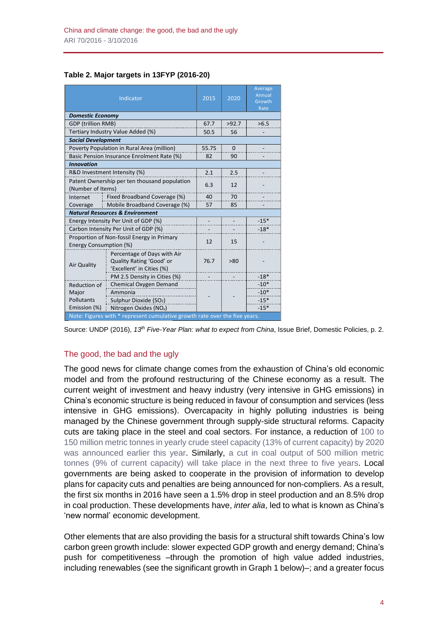Partnerships (PPP), and other means to deliver more value for

#### **Table 2. Major targets in 13FYP (2016-20)**

|                                                                            | Indicator                                                                            | 2015              | 2020     | Average<br>Annual<br>Growth<br>Rate |  |  |  |  |
|----------------------------------------------------------------------------|--------------------------------------------------------------------------------------|-------------------|----------|-------------------------------------|--|--|--|--|
| <b>Domestic Economy</b>                                                    |                                                                                      |                   |          |                                     |  |  |  |  |
| GDP (trillion RMB)                                                         |                                                                                      | 67.7              | >92.7    | >6.5                                |  |  |  |  |
|                                                                            | Tertiary Industry Value Added (%)                                                    | 50.5              | 56       |                                     |  |  |  |  |
| <b>Social Development</b>                                                  |                                                                                      |                   |          |                                     |  |  |  |  |
|                                                                            | Poverty Population in Rural Area (million)                                           | 55.75             | $\Omega$ |                                     |  |  |  |  |
|                                                                            | Basic Pension Insurance Enrolment Rate (%)                                           | 82                | 90       |                                     |  |  |  |  |
| <b>Innovation</b>                                                          |                                                                                      |                   |          |                                     |  |  |  |  |
| R&D Investment Intensity (%)                                               | 2.1                                                                                  | 2.5               |          |                                     |  |  |  |  |
| Patent Ownership per ten thousand population<br>(Number of Items)          | 6.3                                                                                  | 12                |          |                                     |  |  |  |  |
| Fixed Broadband Coverage (%)<br>Internet                                   | 40                                                                                   | 70                |          |                                     |  |  |  |  |
| Coverage                                                                   | Mobile Broadband Coverage (%)                                                        | 57                | 85       |                                     |  |  |  |  |
|                                                                            | <b>Natural Resources &amp; Environment</b>                                           |                   |          |                                     |  |  |  |  |
| Energy Intensity Per Unit of GDP (%)                                       | $\overline{\phantom{a}}$                                                             | $\qquad \qquad -$ | $-15*$   |                                     |  |  |  |  |
| Carbon Intensity Per Unit of GDP (%)                                       |                                                                                      |                   | $-18*$   |                                     |  |  |  |  |
| Proportion of Non-fossil Energy in Primary<br>Energy Consumption (%)       | 12                                                                                   | 15                |          |                                     |  |  |  |  |
| <b>Air Quality</b>                                                         | Percentage of Days with Air<br>Quality Rating 'Good' or<br>'Excellent' in Cities (%) | 76.7              | >80      |                                     |  |  |  |  |
|                                                                            | PM 2.5 Density in Cities (%)                                                         |                   |          | $-18*$                              |  |  |  |  |
| <b>Reduction of</b>                                                        | Chemical Oxygen Demand                                                               |                   |          | $-10*$                              |  |  |  |  |
| Major                                                                      | Ammonia                                                                              |                   |          | $-10*$                              |  |  |  |  |
| Pollutants                                                                 | Sulphur Dioxide (SO <sub>2</sub> )                                                   |                   |          | $-15*$                              |  |  |  |  |
| Emission (%)                                                               | Nitrogen Oxides (NO <sub>x</sub> )                                                   |                   |          | $-15*$                              |  |  |  |  |
| Note: Figures with * represent cumulative growth rate over the five years. |                                                                                      |                   |          |                                     |  |  |  |  |

Source: UNDP (2016), 13<sup>th</sup> Five-Year Plan: what to expect from China, Issue Brief, Domestic Policies, p. 2.

#### The good, the bad and the ugly ne good, the ba

The good news for climate change comes from the exhaustion of China's old economic model and from the profound restructuring of the Chinese economy as a result. The current weight of investment and heavy industry (very intensive in GHG emissions) in barrent weight of invectment and neavy inductry (very interfered in Striet emissionly in<br>China's economic structure is being reduced in favour of consumption and services (less intensive in GHG emissions). Overcapacity in highly polluting industries is being mensive in Sing emissions). Svereapacity in highly perfamilies indicative to being.<br>managed by the Chinese government through supply-side structural reforms. Capacity cuts are taking place in the steel and coal sectors. For instance, a reduction of [100](http://www.bloomberg.com/news/articles/2016-02-04/china-vows-to-tackle-steel-overcapacity-with-2020-cut-targets) to and and tanning place in the creat and open codescribed in the included, a reduction of 150 to<br>150 million metric tonnes in yearly crude steel capacity (13% of current [capacity\)](http://www.bloomberg.com/news/articles/2016-02-04/china-vows-to-tackle-steel-overcapacity-with-2020-cut-targets) by 2020 was [announced](http://www.bloomberg.com/news/articles/2016-02-04/china-vows-to-tackle-steel-overcapacity-with-2020-cut-targets) earlier this year. Similarly, a cut in coal output of 500 [million](http://www.bloomberg.com/news/articles/2016-02-05/china-puts-1-billion-tons-of-coal-capacity-on-chopping-block) metric tonnes (9% of current capacity) will take place in the next three to five years. Local governments are being asked to cooperate in the provision of information to develop plans for capacity cuts and penalties are being announced for non-compliers. As a result, the first six months in 2016 have seen a 1.5% drop in steel production and an 8.5% drop in coal production. These developments have, *inter alia*, led to what is known as China's 'new normal' economic development. hina's economic structure is being reduced in favour of consumption and services (less partners on the completion with China to deliver the china to deliver the china to deliver the china to delive  $T_{\rm tot}$  is  $T_{\rm tot}$  series to promote understanding  $T_{\rm tot}$ uctural reforms. Capacity

Other elements that are also providing the basis for a structural shift towards China's low carbon green growth include: slower expected GDP growth and energy demand; China's push for competitiveness –through the promotion of high value added industries, including renewables (see the significant growth in Graph 1 below)–; and a greater focus

Some commentators have suggested that China's CO<sup>2</sup>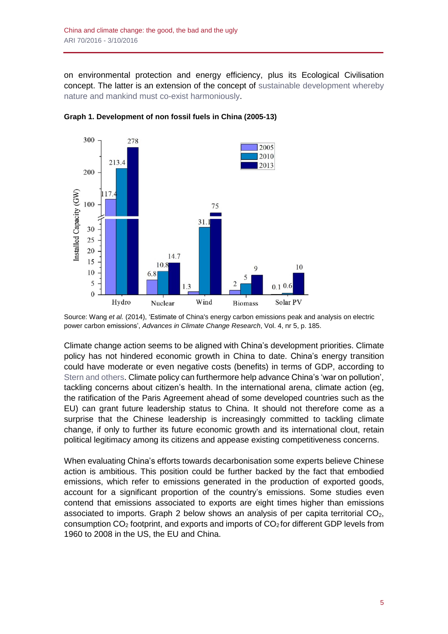on environmental protection and energy efficiency, plus its Ecological Civilisation concept. The latter is an extension of the concept of sustainable [development](http://web.unep.org/ourplanet/march-2016/articles/ecological-civilization) whereby nature and mankind must co-exist [harmoniously.](http://web.unep.org/ourplanet/march-2016/articles/ecological-civilization)



**Graph 1. Development of non fossil fuels in China (2005-13)**

Climate change action seems to be aligned with China's development priorities. Climate policy has not hindered economic growth in China to date. China's energy transition could have moderate or even negative costs (benefits) in terms of GDP, according to Stern and [others.](http://www.lse.ac.uk/GranthamInstitute/wp-content/uploads/2015/06/Chinas_new_normal_green_stern_June_2015.pdf) Climate policy can furthermore help advance China's 'war on pollution', tackling concerns about citizen's health. In the international arena, climate action (eg, the ratification of the Paris Agreement ahead of some developed countries such as the EU) can grant future leadership status to China. It should not therefore come as a surprise that the Chinese leadership is increasingly committed to tackling climate change, if only to further its future economic growth and its international clout, retain political legitimacy among its citizens and appease existing competitiveness concerns.

When evaluating China's efforts towards decarbonisation some experts believe Chinese action is ambitious. This position could be further backed by the fact that embodied emissions, which refer to emissions generated in the production of exported goods, account for a significant proportion of the country's emissions. Some studies even contend that emissions associated to exports are eight times higher than emissions associated to imports. Graph 2 below shows an analysis of per capita territorial  $CO<sub>2</sub>$ , consumption  $CO<sub>2</sub>$  footprint, and exports and imports of  $CO<sub>2</sub>$  for different GDP levels from 1960 to 2008 in the US, the EU and China.

Source: Wang *et al.* (2014), 'Estimate of China's energy carbon emissions peak and analysis on electric power carbon emissions', *Advances in Climate Change Research*, Vol. 4, nr 5, p. 185.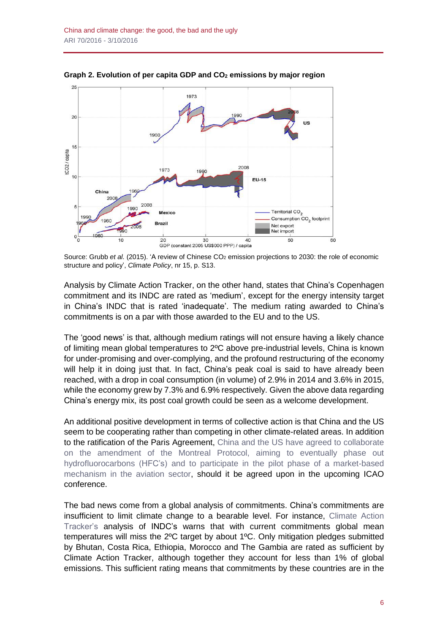

**Graph 2. Evolution of per capita GDP and CO<sup>2</sup> emissions by major region**

Source: Grubb et al. (2015). 'A review of Chinese CO<sub>2</sub> emission projections to 2030: the role of economic structure and policy', *Climate Policy*, nr 15, p. S13.

Analysis by Climate Action Tracker, on the other hand, states that China's Copenhagen commitment and its INDC are rated as 'medium', except for the energy intensity target in China's INDC that is rated 'inadequate'. The medium rating awarded to China's commitments is on a par with those awarded to the EU and to the US.

The 'good news' is that, although medium ratings will not ensure having a likely chance of limiting mean global temperatures to 2ºC above pre-industrial levels, China is known for under-promising and over-complying, and the profound restructuring of the economy will help it in doing just that. In fact, China's peak coal is said to have already been reached, with a drop in coal consumption (in volume) of 2.9% in 2014 and 3.6% in 2015, while the economy grew by 7.3% and 6.9% respectively. Given the above data regarding China's energy mix, its post coal growth could be seen as a welcome development.

An additional positive development in terms of collective action is that China and the US seem to be cooperating rather than competing in other climate-related areas. In addition to the ratification of the Paris Agreement, China and the US have agreed to [collaborate](http://newsroom.unfccc.int/paris-agreement/china-and-us-bring-early-paris-entry-into-force-big-step-closer/) on the [amendment](http://newsroom.unfccc.int/paris-agreement/china-and-us-bring-early-paris-entry-into-force-big-step-closer/) of the Montreal Protocol, aiming to eventually phase out [hydrofluorocarbons](http://newsroom.unfccc.int/paris-agreement/china-and-us-bring-early-paris-entry-into-force-big-step-closer/) (HFC's) and to participate in the pilot phase of a market-based [mechanism](http://newsroom.unfccc.int/paris-agreement/china-and-us-bring-early-paris-entry-into-force-big-step-closer/) in the aviation sector, should it be agreed upon in the upcoming ICAO conference.

The bad news come from a global analysis of commitments. China's commitments are insufficient to limit climate change to a bearable level. For instance, [Climate](http://climateactiontracker.org/assets/publications/briefing_papers/CAT_Temp_Update_COP21.pdf) Action [Tracker's](http://climateactiontracker.org/assets/publications/briefing_papers/CAT_Temp_Update_COP21.pdf) analysis of INDC's warns that with current commitments global mean temperatures will miss the 2ºC target by about 1ºC. Only mitigation pledges submitted by Bhutan, Costa Rica, Ethiopia, Morocco and The Gambia are rated as sufficient by Climate Action Tracker, although together they account for less than 1% of global emissions. This sufficient rating means that commitments by these countries are in the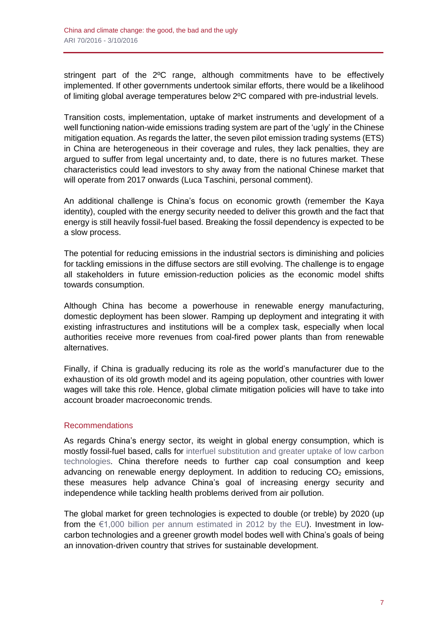stringent part of the 2ºC range, although commitments have to be effectively implemented. If other governments undertook similar efforts, there would be a likelihood of limiting global average temperatures below 2ºC compared with pre-industrial levels.

Transition costs, implementation, uptake of market instruments and development of a well functioning nation-wide emissions trading system are part of the 'ugly' in the Chinese mitigation equation. As regards the latter, the seven pilot emission trading systems (ETS) in China are heterogeneous in their coverage and rules, they lack penalties, they are argued to suffer from legal uncertainty and, to date, there is no futures market. These characteristics could lead investors to shy away from the national Chinese market that will operate from 2017 onwards (Luca Taschini, personal comment).

An additional challenge is China's focus on economic growth (remember the Kaya identity), coupled with the energy security needed to deliver this growth and the fact that energy is still heavily fossil-fuel based. Breaking the fossil dependency is expected to be a slow process.

The potential for reducing emissions in the industrial sectors is diminishing and policies for tackling emissions in the diffuse sectors are still evolving. The challenge is to engage all stakeholders in future emission-reduction policies as the economic model shifts towards consumption.

Although China has become a powerhouse in renewable energy manufacturing, domestic deployment has been slower. Ramping up deployment and integrating it with existing infrastructures and institutions will be a complex task, especially when local authorities receive more revenues from coal-fired power plants than from renewable alternatives.

Finally, if China is gradually reducing its role as the world's manufacturer due to the exhaustion of its old growth model and its ageing population, other countries with lower wages will take this role. Hence, global climate mitigation policies will have to take into account broader macroeconomic trends.

# Recommendations

As regards China's energy sector, its weight in global energy consumption, which is mostly fossil-fuel based, calls for interfuel [substitution](http://www.tandfonline.com/doi/full/10.1080/14693062.2015.1101307) and greater uptake of low carbon [technologies.](http://www.tandfonline.com/doi/full/10.1080/14693062.2015.1101307) China therefore needs to further cap coal consumption and keep advancing on renewable energy deployment. In addition to reducing  $CO<sub>2</sub>$  emissions, these measures help advance China's goal of increasing energy security and independence while tackling health problems derived from air pollution.

The global market for green technologies is expected to double (or treble) by 2020 (up from the  $\epsilon$ 1,000 billion per annum [estimated](http://ec.europa.eu/growth/tools-databases/newsroom/cf/itemdetail.cfm?item_id=5968&lang=en&tpa_id=0&displayType=news&nl_id=1019) in 2012 by the EU). Investment in lowcarbon technologies and a greener growth model bodes well with China's goals of being an innovation-driven country that strives for sustainable development.